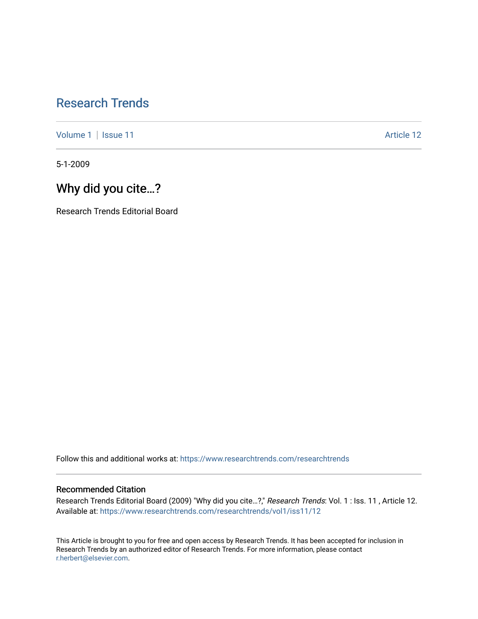## [Research Trends](https://www.researchtrends.com/researchtrends)

[Volume 1](https://www.researchtrends.com/researchtrends/vol1) | [Issue 11](https://www.researchtrends.com/researchtrends/vol1/iss11) Article 12

5-1-2009

## Why did you cite…?

Research Trends Editorial Board

Follow this and additional works at: [https://www.researchtrends.com/researchtrends](https://www.researchtrends.com/researchtrends?utm_source=www.researchtrends.com%2Fresearchtrends%2Fvol1%2Fiss11%2F12&utm_medium=PDF&utm_campaign=PDFCoverPages) 

### Recommended Citation

Research Trends Editorial Board (2009) "Why did you cite…?," Research Trends: Vol. 1 : Iss. 11 , Article 12. Available at: [https://www.researchtrends.com/researchtrends/vol1/iss11/12](https://www.researchtrends.com/researchtrends/vol1/iss11/12?utm_source=www.researchtrends.com%2Fresearchtrends%2Fvol1%2Fiss11%2F12&utm_medium=PDF&utm_campaign=PDFCoverPages) 

This Article is brought to you for free and open access by Research Trends. It has been accepted for inclusion in Research Trends by an authorized editor of Research Trends. For more information, please contact [r.herbert@elsevier.com.](mailto:r.herbert@elsevier.com)